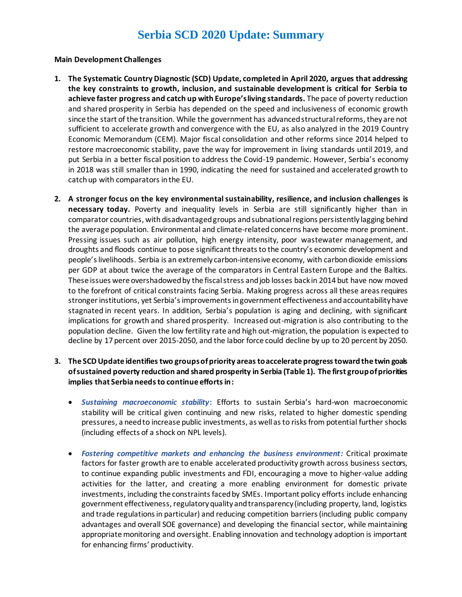# **Serbia SCD 2020 Update: Summary**

#### **Main Development Challenges**

- **1. The Systematic Country Diagnostic (SCD) Update, completed in April 2020, argues that addressing the key constraints to growth, inclusion, and sustainable development is critical for Serbia to achieve faster progress and catch up with Europe's living standards.** The pace of poverty reduction and shared prosperity in Serbia has depended on the speed and inclusiveness of economic growth since the start of the transition. While the government has advanced structural reforms, they are not sufficient to accelerate growth and convergence with the EU, as also analyzed in the 2019 Country Economic Memorandum (CEM). Major fiscal consolidation and other reforms since 2014 helped to restore macroeconomic stability, pave the way for improvement in living standards until 2019, and put Serbia in a better fiscal position to address the Covid-19 pandemic. However, Serbia's economy in 2018 was still smaller than in 1990, indicating the need for sustained and accelerated growth to catch up with comparators in the EU.
- **2. A stronger focus on the key environmental sustainability, resilience, and inclusion challenges is necessary today.** Poverty and inequality levels in Serbia are still significantly higher than in comparator countries, with disadvantaged groups and subnational regions persistently lagging behind the average population. Environmental and climate-related concerns have become more prominent. Pressing issues such as air pollution, high energy intensity, poor wastewater management, and droughts and floods continue to pose significant threats to the country's economic development and people's livelihoods. Serbia is an extremely carbon-intensive economy, with carbon dioxide emissions per GDP at about twice the average of the comparators in Central Eastern Europe and the Baltics. These issues were overshadowed by the fiscal stress and job losses back in 2014 but have now moved to the forefront of critical constraints facing Serbia. Making progress across all these areas requires stronger institutions, yet Serbia'simprovements in government effectiveness and accountability have stagnated in recent years. In addition, Serbia's population is aging and declining, with significant implications for growth and shared prosperity. Increased out-migration is also contributing to the population decline. Given the low fertility rate and high out-migration, the population is expected to decline by 17 percent over 2015-2050, and the labor force could decline by up to 20 percent by 2050.
- **3. The SCDUpdate identifies two groups ofpriority areasto accelerate progress toward the twin goals of sustained poverty reduction and shared prosperity in Serbia (Table 1). The first group of priorities implies that Serbia needs to continue efforts in:**
	- *Sustaining macroeconomic stability***:** Efforts to sustain Serbia's hard-won macroeconomic stability will be critical given continuing and new risks, related to higher domestic spending pressures, a need to increase public investments, as well as to risks from potential further shocks (including effects of a shock on NPL levels).
	- *Fostering competitive markets and enhancing the business environment:* Critical proximate factors for faster growth are to enable accelerated productivity growth across business sectors, to continue expanding public investments and FDI, encouraging a move to higher-value adding activities for the latter, and creating a more enabling environment for domestic private investments, including the constraints faced by SMEs. Important policy efforts include enhancing government effectiveness, regulatory quality and transparency (including property, land, logistics and trade regulations in particular) and reducing competition barriers (including public company advantages and overall SOE governance) and developing the financial sector, while maintaining appropriate monitoring and oversight. Enabling innovation and technology adoption is important for enhancing firms' productivity.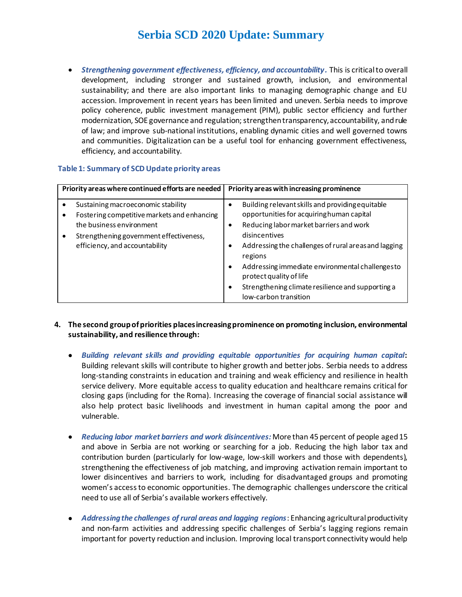# **Serbia SCD 2020 Update: Summary**

• *Strengthening government effectiveness, efficiency, and accountability.* This is critical to overall development, including stronger and sustained growth, inclusion, and environmental sustainability; and there are also important links to managing demographic change and EU accession. Improvement in recent years has been limited and uneven. Serbia needs to improve policy coherence, public investment management (PIM), public sector efficiency and further modernization, SOE governance and regulation; strengthen transparency, accountability, and rule of law; and improve sub-national institutions, enabling dynamic cities and well governed towns and communities. Digitalization can be a useful tool for enhancing government effectiveness, efficiency, and accountability.

#### **Table 1: Summary of SCD Update priority areas**

| Priority areas where continued efforts are needed                                                                                                                                          | Priority areas with increasing prominence                                                                                                                                                                                                                                                                                                                                                |
|--------------------------------------------------------------------------------------------------------------------------------------------------------------------------------------------|------------------------------------------------------------------------------------------------------------------------------------------------------------------------------------------------------------------------------------------------------------------------------------------------------------------------------------------------------------------------------------------|
| Sustaining macroeconomic stability<br>Fostering competitive markets and enhancing<br>the business environment<br>Strengthening government effectiveness,<br>efficiency, and accountability | Building relevant skills and providing equitable<br>opportunities for acquiring human capital<br>Reducing labor market barriers and work<br>disincentives<br>Addressing the challenges of rural areas and lagging<br>regions<br>Addressing immediate environmental challengesto<br>protect quality of life<br>Strengthening climate resilience and supporting a<br>low-carbon transition |

- **4. The second group of priorities places increasing prominence on promoting inclusion, environmental sustainability, and resilience through:**
	- *Building relevant skills and providing equitable opportunities for acquiring human capital***:** Building relevant skills will contribute to higher growth and better jobs. Serbia needs to address long-standing constraints in education and training and weak efficiency and resilience in health service delivery. More equitable access to quality education and healthcare remains critical for closing gaps (including for the Roma). Increasing the coverage of financial social assistance will also help protect basic livelihoods and investment in human capital among the poor and vulnerable.
	- *Reducing labor market barriers and work disincentives:* More than 45 percent of people aged 15 and above in Serbia are not working or searching for a job. Reducing the high labor tax and contribution burden (particularly for low-wage, low-skill workers and those with dependents), strengthening the effectiveness of job matching, and improving activation remain important to lower disincentives and barriers to work, including for disadvantaged groups and promoting women's access to economic opportunities. The demographic challenges underscore the critical need to use all of Serbia's available workers effectively.
	- *Addressing the challenges of rural areas and lagging regions*: Enhancing agricultural productivity and non-farm activities and addressing specific challenges of Serbia's lagging regions remain important for poverty reduction and inclusion. Improving local transport connectivity would help